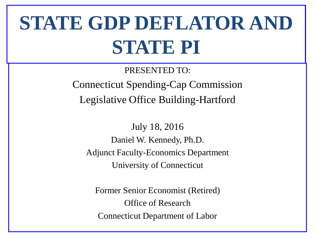# **STATE GDP DEFLATOR AND STATE PI**

PRESENTED TO: Connecticut Spending-Cap Commission Legislative Office Building-Hartford

July 18, 2016 Daniel W. Kennedy, Ph.D. Adjunct Faculty-Economics Department University of Connecticut

Former Senior Economist (Retired) Office of Research Connecticut Department of Labor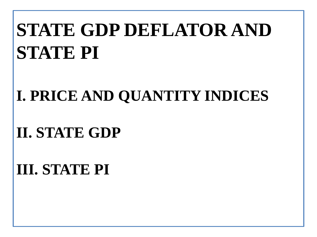# **STATE GDP DEFLATOR AND STATE PI**

#### **I. PRICE AND QUANTITY INDICES**

#### **II. STATE GDP**

### **III. STATE PI**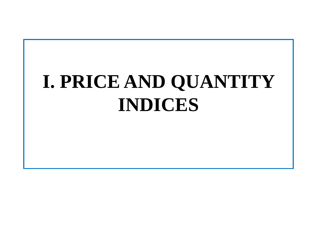# **I. PRICE AND QUANTITY INDICES**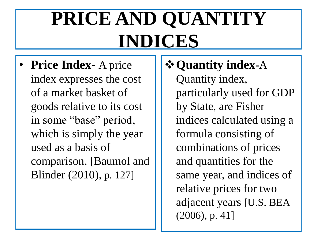# **PRICE AND QUANTITY INDICES**

• **Price Index-** A price index expresses the cost of a market basket of goods relative to its cost in some "base" period, which is simply the year used as a basis of comparison. [Baumol and Blinder (2010), p. 127]

#### **Quantity index-**A

Quantity index, particularly used for GDP by State, are Fisher indices calculated using a formula consisting of combinations of prices and quantities for the same year, and indices of relative prices for two adjacent years [U.S. BEA (2006), p. 41]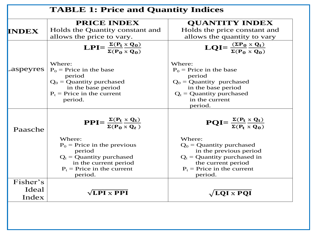|              | <b>PRICE INDEX</b>                                                                               | <b>OUANTITY INDEX</b>                                                    |
|--------------|--------------------------------------------------------------------------------------------------|--------------------------------------------------------------------------|
| <b>INDEX</b> | Holds the Quantity constant and                                                                  | Holds the price constant and                                             |
|              | allows the price to vary.                                                                        | allows the quantity to vary                                              |
|              | LPI= $\frac{\Sigma(P_t \times Q_0)}{\Sigma(P_0 \times Q_0)}$                                     | $\mathbf{LQI} = \frac{(\Sigma P_0 \times Q_t)}{\Sigma (P_0 \times Q_0)}$ |
| aspeyres     | Where:<br>$P_0$ = Price in the base                                                              | Where:<br>$P_0$ = Price in the base                                      |
|              | period                                                                                           | period                                                                   |
|              | $Q_0$ = Quantity purchased                                                                       | $Q_0$ = Quantity purchased                                               |
|              | in the base period                                                                               | in the base period                                                       |
|              | $P_t$ = Price in the current                                                                     | $Q_t$ = Quantity purchased                                               |
|              | period.                                                                                          | in the current                                                           |
|              |                                                                                                  | period.                                                                  |
| Paasche      | $\text{PPI} = \frac{\Sigma(\text{P}_t \times \text{Q}_t)}{\Sigma(\text{P}_0 \times \text{Q}_t)}$ | $PQI = \frac{\Sigma (P_t \times Q_t)}{\Sigma (P_t \times Q_0)}$          |
|              | Where:                                                                                           | Where:                                                                   |
|              | $P_0$ = Price in the previous                                                                    | $Q_0$ = Quantity purchased                                               |
|              | period                                                                                           | in the previous period                                                   |
|              | $Q_t$ = Quantity purchased                                                                       | $Q_t$ = Quantity purchased in                                            |
|              |                                                                                                  |                                                                          |
|              |                                                                                                  |                                                                          |
|              |                                                                                                  |                                                                          |
|              |                                                                                                  |                                                                          |
| Fisher's     | in the current period<br>$P_t$ = Price in the current<br>period.                                 | the current period<br>$P_t$ = Price in the current<br>period.            |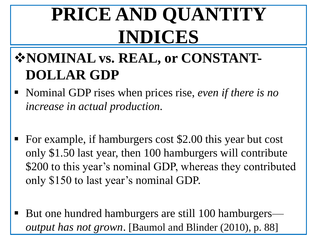# **PRICE AND QUANTITY INDICES**

#### **\*NOMINAL vs. REAL, or CONSTANT-DOLLAR GDP**

- Nominal GDP rises when prices rise, *even if there is no increase in actual production.*
- For example, if hamburgers cost \$2.00 this year but cost only \$1.50 last year, then 100 hamburgers will contribute \$200 to this year's nominal GDP, whereas they contributed only \$150 to last year's nominal GDP.
- But one hundred hamburgers are still 100 hamburgers *output has not grown*. [Baumol and Blinder (2010), p. 88]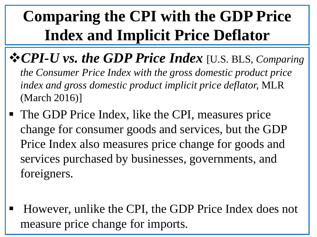- **☆ CPI-U vs. the GDP Price Index** [U.S. BLS, *Comparing the Consumer Price Index with the gross domestic product price index and gross domestic product implicit price deflator,* MLR (March 2016)]
- The GDP Price Index, like the CPI, measures price change for consumer goods and services, but the GDP Price Index also measures price change for goods and services purchased by businesses, governments, and foreigners.
- However, unlike the CPI, the GDP Price Index does not measure price change for imports.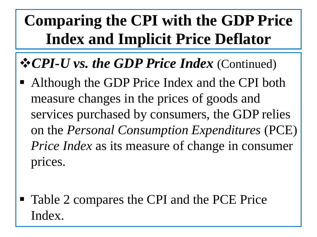#### **☆ CPI-U vs. the GDP Price Index** (Continued)

- Although the GDP Price Index and the CPI both measure changes in the prices of goods and services purchased by consumers, the GDP relies on the *Personal Consumption Expenditures* (PCE) *Price Index* as its measure of change in consumer prices.
- Table 2 compares the CPI and the PCE Price Index.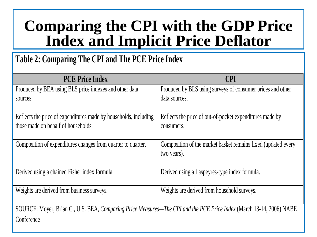#### **Table 2: Comparing The CPI and The PCE Price Index**

| <b>PCE Price Index</b>                                                                                               | <b>CPI</b>                                                                   |
|----------------------------------------------------------------------------------------------------------------------|------------------------------------------------------------------------------|
| Produced by BEA using BLS price indexes and other data                                                               | Produced by BLS using surveys of consumer prices and other                   |
| sources.                                                                                                             | data sources.                                                                |
| Reflects the price of expenditures made by households, including<br>those made on behalf of households.              | Reflects the price of out-of-pocket expenditures made by<br>consumers.       |
| Composition of expenditures changes from quarter to quarter.                                                         | Composition of the market basket remains fixed (updated every<br>two years). |
| Derived using a chained Fisher index formula.                                                                        | Derived using a Laspeyres-type index formula.                                |
| Weights are derived from business surveys.                                                                           | Weights are derived from household surveys.                                  |
| SOURCE: Moyer, Brian C., U.S. BEA, Comparing Price Measures—The CPI and the PCE Price Index (March 13-14, 2006) NABE |                                                                              |
| Conference                                                                                                           |                                                                              |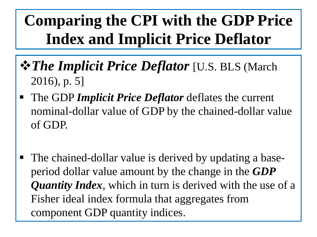- *The Implicit Price Deflator* [U.S. BLS (March 2016), p. 5]
- The GDP *Implicit Price Deflator* deflates the current nominal-dollar value of GDP by the chained-dollar value of GDP.
- The chained-dollar value is derived by updating a baseperiod dollar value amount by the change in the *GDP Quantity Index*, which in turn is derived with the use of a Fisher ideal index formula that aggregates from component GDP quantity indices.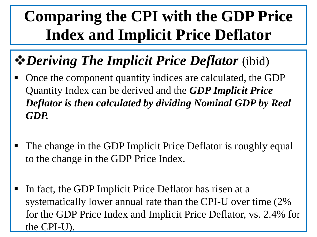### *Deriving The Implicit Price Deflator* (ibid)

- Once the component quantity indices are calculated, the GDP Quantity Index can be derived and the *GDP Implicit Price Deflator is then calculated by dividing Nominal GDP by Real GDP.*
- The change in the GDP Implicit Price Deflator is roughly equal to the change in the GDP Price Index.
- In fact, the GDP Implicit Price Deflator has risen at a systematically lower annual rate than the CPI-U over time (2% for the GDP Price Index and Implicit Price Deflator, vs. 2.4% for the CPI-U).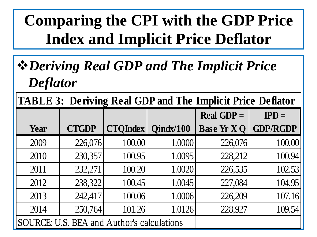#### *Deriving Real GDP and The Implicit Price Deflator*

**TABLE 3: Deriving Real GDP and The Implicit Price Deflator** 

|      |              | $\overline{\phantom{a}}$                   |           | Real GDP $=$      | $\mathbf{IPD} =$ |
|------|--------------|--------------------------------------------|-----------|-------------------|------------------|
| Year | <b>CTGDP</b> | <b>CTQIndex</b>                            | Qindx/100 | <b>Base Yr XQ</b> | <b>GDP/RGDP</b>  |
| 2009 | 226,076      | 100.00                                     | 1.0000    | 226,076           | 100.00           |
| 2010 | 230,357      | 100.95                                     | 1.0095    | 228,212           | 100.94           |
| 2011 | 232,271      | 100.20                                     | 1.0020    | 226,535           | 102.53           |
| 2012 | 238,322      | 100.45                                     | 1.0045    | 227,084           | 104.95           |
| 2013 | 242,417      | 100.06                                     | 1.0006    | 226,209           | 107.16           |
| 2014 | 250,764      | 101.26                                     | 1.0126    | 228,927           | 109.54           |
|      |              | SOURCE: U.S. BEA and Author's calculations |           |                   |                  |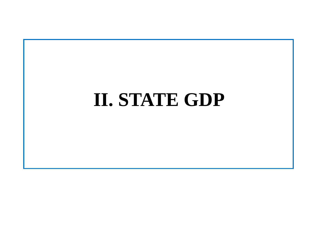### **II. STATE GDP**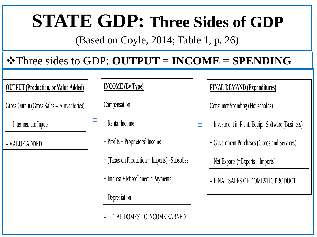### **STATE GDP: Three Sides of GDP**

(Based on Coyle, 2014; Table 1, p. 26)

#### Three sides to GDP: **OUTPUT = INCOME = SPENDING**

#### **OUTPUT (Production, or Value Added)**

Gross Output (Gross Sales -- ∆Inventories)

---- Intermediate Inputs

= VALUE ADDED

#### **INCOME (By Type)**

**Compensation** 

+ Rental Income  $=$  **+ Rental Income** 

+ Profits + Proprietors' Income

+ (Taxes on Production + Imports) –Subsidies

+ Interest + Miscellaneous Payments

+ Depreciation

= TOTAL DOMESTIC INCOME EARNED

#### **FINAL DEMAND (Expenditures)**

Consumer Spending (Households)

+ Investment in Plant, Equip., Software (Business)

+ Government Purchases (Goods and Services)

+ Net Exports (=Exports – Imports)

= FINAL SALES OF DOMESTIC PRODUCT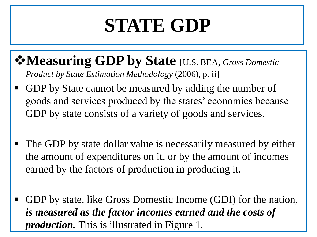#### **Measuring GDP by State** [U.S. BEA, *Gross Domestic Product by State Estimation Methodology* (2006), p. ii]

- GDP by State cannot be measured by adding the number of goods and services produced by the states' economies because GDP by state consists of a variety of goods and services.
- The GDP by state dollar value is necessarily measured by either the amount of expenditures on it, or by the amount of incomes earned by the factors of production in producing it.
- GDP by state, like Gross Domestic Income (GDI) for the nation, *is measured as the factor incomes earned and the costs of production.* This is illustrated in Figure 1.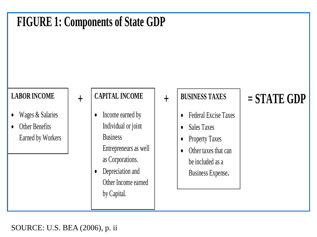

#### SOURCE: U.S. BEA (2006), p. ii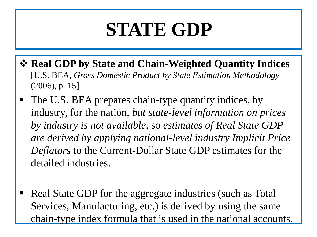- **Real GDP by State and Chain-Weighted Quantity Indices**  [U.S. BEA, *Gross Domestic Product by State Estimation Methodology*  (2006), p. 15]
- The U.S. BEA prepares chain-type quantity indices, by industry, for the nation, *but state-level information on prices by industry is not available*, so *estimates of Real State GDP are derived by applying national-level industry Implicit Price Deflators* to the Current-Dollar State GDP estimates for the detailed industries.
- Real State GDP for the aggregate industries (such as Total Services, Manufacturing, etc.) is derived by using the same chain-type index formula that is used in the national accounts.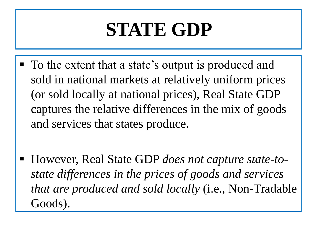- To the extent that a state's output is produced and sold in national markets at relatively uniform prices (or sold locally at national prices), Real State GDP captures the relative differences in the mix of goods and services that states produce.
- However, Real State GDP *does not capture state-tostate differences in the prices of goods and services that are produced and sold locally* (i.e., Non-Tradable Goods).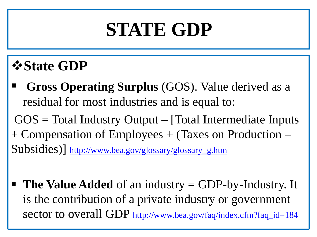#### *<b><i>*State GDP

 **Gross Operating Surplus** (GOS). Value derived as a residual for most industries and is equal to:  $GOS = Total Industry Output - [Total Intermediate Inputs]$ + Compensation of Employees + (Taxes on Production –

Subsidies)] [http://www.bea.gov/glossary/glossary\\_g.htm](http://www.bea.gov/glossary/glossary_g.htm)

 **The Value Added** of an industry = GDP-by-Industry. It is the contribution of a private industry or government sector to overall GDP [http://www.bea.gov/faq/index.cfm?faq\\_id=184](http://www.bea.gov/faq/index.cfm?faq_id=184)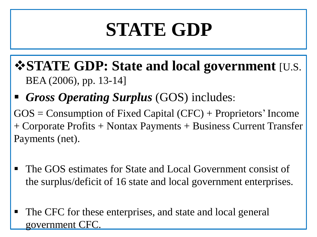- **STATE GDP: State and local government** [U.S. BEA (2006), pp. 13-14]
- *Gross Operating Surplus* (GOS) includes:

 $GOS =$  Consumption of Fixed Capital (CFC) + Proprietors' Income + Corporate Profits + Nontax Payments + Business Current Transfer Payments (net).

- The GOS estimates for State and Local Government consist of the surplus/deficit of 16 state and local government enterprises.
- The CFC for these enterprises, and state and local general government CFC.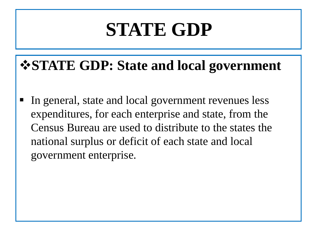#### **STATE GDP: State and local government**

 In general, state and local government revenues less expenditures, for each enterprise and state, from the Census Bureau are used to distribute to the states the national surplus or deficit of each state and local government enterprise.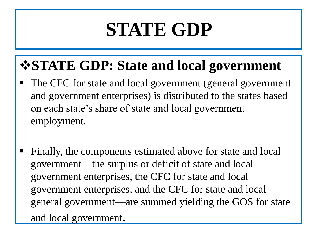#### **STATE GDP: State and local government**

- The CFC for state and local government (general government and government enterprises) is distributed to the states based on each state's share of state and local government employment.
- Finally, the components estimated above for state and local government—the surplus or deficit of state and local government enterprises, the CFC for state and local government enterprises, and the CFC for state and local general government—are summed yielding the GOS for state and local government.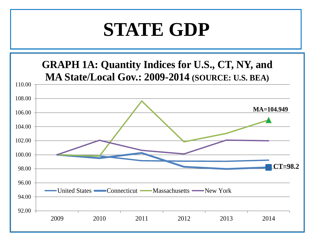#### **GRAPH 1A: Quantity Indices for U.S., CT, NY, and MA State/Local Gov.: 2009-2014 (SOURCE: U.S. BEA)**

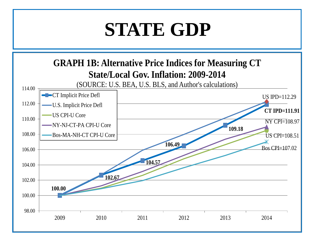

**100.00 102.67 104.57 106.49 109.18 CT IPD=111.91** US IPD=112.29  $US$  CPI $=$ 108.51  $\overline{NY}$  CPI=108.97  $Bos$  CPI $=$ 107.02 98.00 100.00 102.00 104.00 106.00 108.00 110.00 112.00 114.00 2009 2010 2011 2012 2013 2014 (SOURCE: U.S. BEA, U.S. BLS, and Author's calculations) **-CT** Implicit Price Defl U.S. Implicit Price Defl US CPI-U Core NY-NJ-CT-PA CPI-U Core Bos-MA-NH-CT CPI-U Core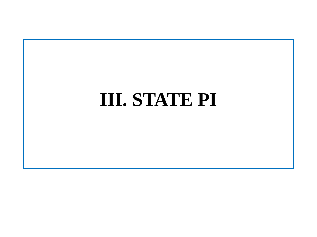## **III. STATE PI**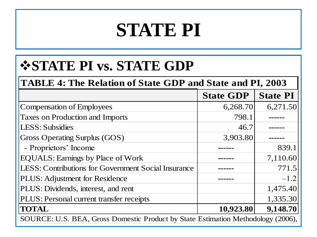#### **STATE PI vs. STATE GDP**

#### **TABLE 4: The Relation of State GDP and State and PI, 2003**

|                                                                                  | <b>State GDP</b> | <b>State PI</b> |  |
|----------------------------------------------------------------------------------|------------------|-----------------|--|
| Compensation of Employees                                                        | 6,268.70         | 6,271.50        |  |
| <b>Taxes on Production and Imports</b>                                           | 798.1            |                 |  |
| LESS: Subsidies                                                                  | 46.7             |                 |  |
| <b>Gross Operating Surplus (GOS)</b>                                             | 3,903.80         |                 |  |
| - Proprietors' Income                                                            |                  | 839.1           |  |
| <b>EQUALS: Earnings by Place of Work</b>                                         |                  | 7,110.60        |  |
| LESS: Contributions for Government Social Insurance                              |                  | 771.5           |  |
| PLUS: Adjustment for Residence                                                   |                  | $-1.2$          |  |
| PLUS: Dividends, interest, and rent                                              |                  | 1,475.40        |  |
| PLUS: Personal current transfer receipts                                         |                  | 1,335.30        |  |
| <b>TOTAL</b>                                                                     | 10,923.80        | 9,148.70        |  |
| SOURCE: U.S. BEA, Gross Domestic Product by State Estimation Methodology (2006), |                  |                 |  |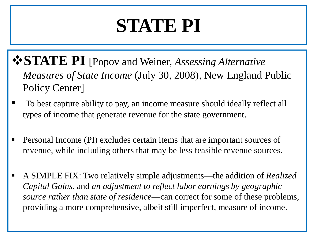- **STATE PI** [Popov and Weiner, *Assessing Alternative Measures of State Income* (July 30, 2008), New England Public Policy Center]
- To best capture ability to pay, an income measure should ideally reflect all types of income that generate revenue for the state government.
- Personal Income (PI) excludes certain items that are important sources of revenue, while including others that may be less feasible revenue sources.
- A SIMPLE FIX: Two relatively simple adjustments—the addition of *Realized Capital Gains*, and *an adjustment to reflect labor earnings by geographic source rather than state of residence*—can correct for some of these problems, providing a more comprehensive, albeit still imperfect, measure of income.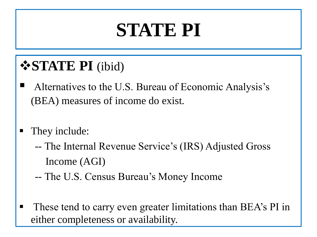#### **STATE PI** (ibid)

- Alternatives to the U.S. Bureau of Economic Analysis's (BEA) measures of income do exist.
- They include:
	- -- The Internal Revenue Service's (IRS) Adjusted Gross Income (AGI)
	- -- The U.S. Census Bureau's Money Income
- These tend to carry even greater limitations than BEA's PI in either completeness or availability.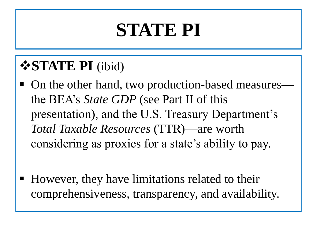#### **STATE PI** (ibid)

- On the other hand, two production-based measures the BEA's *State GDP* (see Part II of this presentation), and the U.S. Treasury Department's *Total Taxable Resources* (TTR)—are worth considering as proxies for a state's ability to pay.
- However, they have limitations related to their comprehensiveness, transparency, and availability.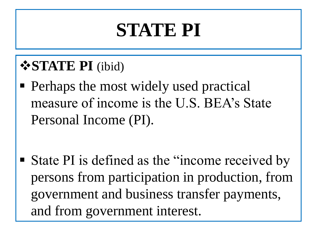#### **STATE PI** (ibid)

 Perhaps the most widely used practical measure of income is the U.S. BEA's State Personal Income (PI).

 State PI is defined as the "income received by persons from participation in production, from government and business transfer payments, and from government interest.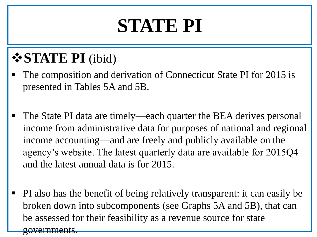#### **STATE PI** (ibid)

- The composition and derivation of Connecticut State PI for 2015 is presented in Tables 5A and 5B.
- The State PI data are timely—each quarter the BEA derives personal income from administrative data for purposes of national and regional income accounting—and are freely and publicly available on the agency's website. The latest quarterly data are available for 2015Q4 and the latest annual data is for 2015.
- PI also has the benefit of being relatively transparent: it can easily be broken down into subcomponents (see Graphs 5A and 5B), that can be assessed for their feasibility as a revenue source for state governments.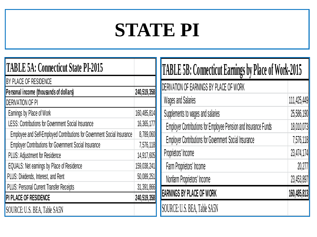1 I

| <b>TABLE 5A: Connecticut State PI-2015</b>                               |             |
|--------------------------------------------------------------------------|-------------|
| BY PLACE OF RESIDENCE                                                    |             |
| Personal income (thousands of dollars)                                   | 240,519,358 |
| <b>DERIVATION OF PI</b>                                                  |             |
| Earnings by Place of Work                                                | 160,485,814 |
| <b>LESS: Contributions for Government Social Insurance</b>               | 16,365,177  |
| Employee and Self-Employed Contributions for Government Social Insurance | 8,789,060   |
| Employer Contributions for Government Social Insurance                   | 7,576,118   |
| PLUS: Adjustment for Residence                                           | 14,917,605  |
| EQUALS: Net earnings by Place of Residence                               | 159,038,241 |
| PLUS: Dividends, Interest, and Rent                                      | 50,089,251  |
| PLUS: Personal Current Transfer Receipts                                 | 31,391,866  |
| PI PLACE OF RESIDENCE                                                    | 240,519,358 |
| SOURCE: U.S. BEA, Table SA5N                                             |             |

| <b>TABLE 5B: Connecticut Earnings by Place of Work-2015</b>            |             |  |
|------------------------------------------------------------------------|-------------|--|
| DERIVATION OF EARNINGS BY PLACE OF WORK                                |             |  |
| <b>Wages and Salaries</b>                                              | 111,425,449 |  |
| Supplements to wages and salaries                                      | 25,586,190  |  |
| <b>Employer Contributions for Employee Pension and Insurance Funds</b> | 18,010,073  |  |
| <b>Employer Contributions for Government Social Insurance</b>          | 7,576,118   |  |
| Proprietors' Income                                                    | 23,474,174  |  |
| Farm Proprietors' Income                                               | 20,277      |  |
| Nonfarm Proprietors' Income                                            | 23,453,897  |  |
| <b>EARNINGS BY PLACE OF WORK</b>                                       | 160,485,813 |  |
| SOURCE: U.S. BEA, Table SA5N                                           |             |  |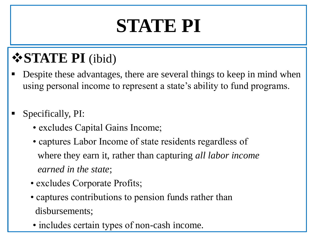#### **STATE PI** (ibid)

- Despite these advantages, there are several things to keep in mind when using personal income to represent a state's ability to fund programs.
- Specifically, PI:
	- excludes Capital Gains Income;
	- captures Labor Income of state residents regardless of where they earn it, rather than capturing *all labor income earned in the state*;
	- excludes Corporate Profits;
	- captures contributions to pension funds rather than disbursements;
	- includes certain types of non-cash income.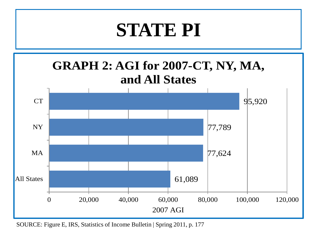

SOURCE: Figure E, IRS, Statistics of Income Bulletin | Spring 2011, p. 177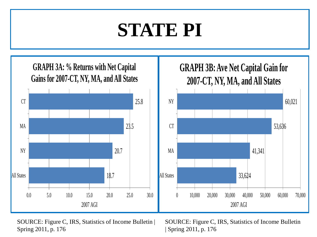

SOURCE: Figure C, IRS, Statistics of Income Bulletin | Spring 2011, p. 176

SOURCE: Figure C, IRS, Statistics of Income Bulletin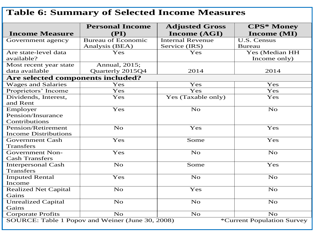#### **Table 6: Summary of Selected Income Measures Income Measure Personal Income (PI) Adjusted Gross Income (AGI) CPS\* Money Income (MI)** Government agency | Bureau of Economic Analysis (BEA) Internal Revenue Service (IRS) U.S. Census Bureau Are state-level data available? Yes Yes Yes (Median HH Income only) Most recent year state data available Annual, 2015; Quarterly 2015Q4 2014 2014 2014 **Are selected components included?** Wages and Salaries  $\begin{array}{ccc} & \text{Yes} & \text{Yes} \\ \end{array}$ Proprietors' Income Yes Yes Yes Yes Yes Dividends, Interest, and Rent Yes | Yes (Taxable only) | Yes Employer Pension/Insurance Contributions Tes No No No Pension/Retirement Income Distributions No Yes Yes Yes Government Cash **Transfers** Tes Some Yes Government Non-Cash Transfers Yes No No No Interpersonal Cash **Transfers** No Some Yes Imputed Rental Income Tes No No No Realized Net Capital **Gains** No Yes No Unrealized Capital **Gains** No No No

Corporate Profits  $\begin{array}{c|c} \text{No} & \text{No} & \text{No} \\ \hline \text{SOURCE: Table 1 Popov and Weiner (June 30, 2008) & *Current Population Survey \\ \end{array}$ SOURCE: Table 1 Popov and Weiner (June 30, 2008)